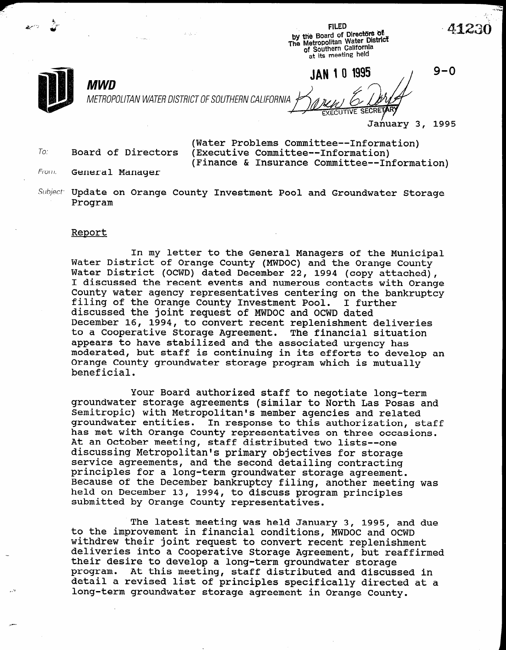**FILED** by the Board of Directors of by the Board of Directors of<br>The Metropolitan Water District<br>of Southern California<br>at its meeting held

METROPOLITAN WATER DISTRICT OF SOUTHERN CALIFORNIA

9-o

**JAN 1 0 1995** 

January 3, 1995

(Water Problems Committee--Information) To: Board of Directors (Executive Committee--Information) (Finance & Insurance Committee--Information)

From: **General Manager** 

MWD

Subject: Update on Orange County Investment Pool and Groundwater Storage Program

## Report

In my letter to the General Managers of the Municipal Water District of Orange County (MWDOC) and the Orange County Water District Of Orange County (MWDOC) and the Orange County<br>Water District (OCWD), dated December 22, 1994 (copy attached nater bistitut (odnb) dated becember 22, 1994 (copy attached),<br>I discussed the recent events and numerous contacts with Orange I discussed the recent events and numerous contacts with Orange County water agency representatives centering on the bankruptcy filing of the Orange County Investment Pool. I further discussed the joint request of MWDOC and OCWD dated December 16, 1994, to convert recent replenishment deliveries to a Cooperative Storage Agreement. The financial situation to a Cooperative Storage Agreement. The financial situation appears to have stabilized and the associated urgency has moderated, but staff is continuing in its efforts to develop an Orange County groundwater storage program which is mutually<br>beneficial.

 $y_{\text{max}}$  Board authorized states to negotiate long-term rour Board authorized staff to negotiate long-term groundwater storage agreements (similar to North Las Posas and Semitropic) with Metropolitan's member agencies and related groundwater entities. In response to this authorization, staff has met with Orange County representatives on three occasions. At an October meeting, staff distributed two lists--one discussing Metropolitan's primary objectives for storage service agreements, and the second detailing contracting principles for a long-term groundwater storage agreement. Because of the December bankruptcy filing, another meeting was held on December 13, 1994, to discuss program principles<br>submitted by Orange County representatives.

The latest meeting was held January 3, 1995, and due to the latest meeting was held January 3, 1995, and due t<br>The latest meeting was held January 3, 1995, and due to the latest meeting was held January 3, 1995, and due t The latest meeting was held January 3, 1995, and  $\epsilon$ to the improvement in financial conditions, MWDOC and OCWD withdrew their joint request to convert recent replenishment deliveries into a Cooperative Storage Agreement, but reaffirmed their desire to develop a long-term groundwater storage program. At this meeting, staff distributed and discussed in detail a revised list of principles specifically directed at a long-term groundwater storage agreement in Orange County.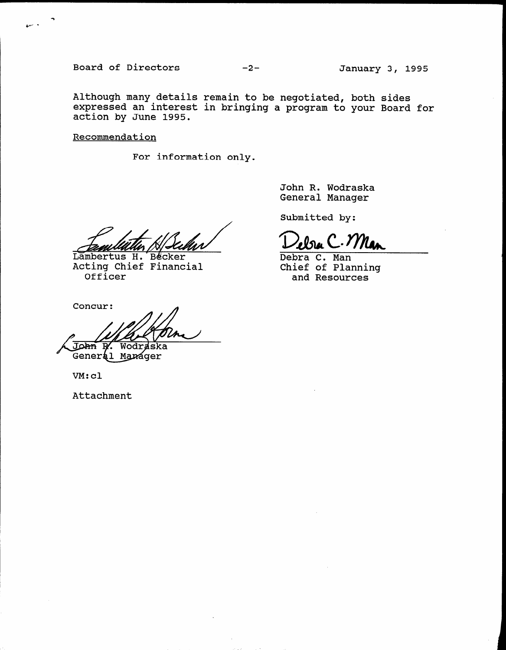Board of Directors -2- January 3, 1995

Although many details remain to be negotiated, both sides expressed an interest in bringing a program to your Board for action by June 1995.

Recommendation

For information only.

John R. Wodraska General Manager

Lambertus H. Becker Acting Chief Financial Officer

Concur: **John** ska General Manager

 $VM:cl$ 

Attachment

Submitted by:

Man  $\theta$ sa (

Debra C. Man Chief of Planning and Resources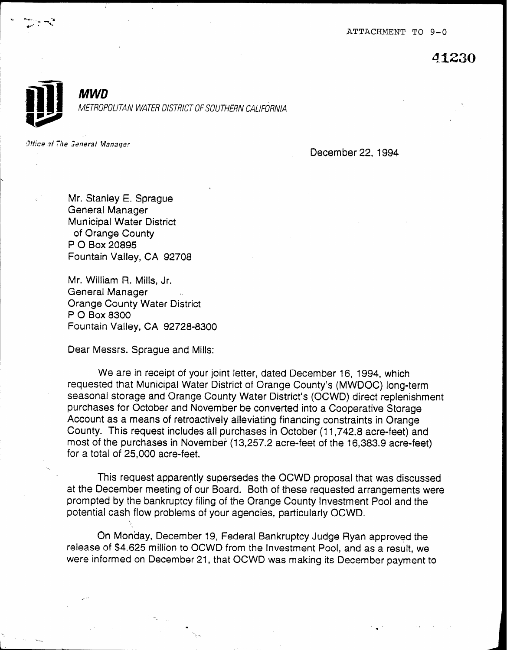41230

## MWD METROPOLITAN WATER DISTRICT OF SOUTHERN CALIFORNIA

**Office of The Seneral Manager** 

wa =-s-s

 $-$ 

I

December 22, 1994

Mr. Stanley E. Sprague General Manager Municipal Water District of Orange County P 0 Box 20895 Fountain Valley, CA 92708

Mr. William R. Mills, Jr. General Manager Orange County Water District P 0 Box 8300 Fountain Valley, CA 92728-8300

Dear Messrs. Sprague and Mills:

We are in receipt of your joint letter, dated December 16, 1994, which requested that Municipal Water District of Orange County's (MWDOC) long-term seasonal storage and Orange County Water District's (OCWD) direct replenishment purchases for October and November be converted into a Cooperative Storage Account as a means of retroactively alleviating financing constraints in Orange County. This request includes all purchases in October (11,742.8 acre-feet) and most of the purchases in November (13,257.2 acre-feet of the 16,383.g acre-feet) for a total of 25,000 acre-feet.

This request apparently supersedes the OCWD proposal that was discussed at the December meeting of our Board. Both of these requested arrangements were prompted by the bankruptcy filing of the Orange County Investment Pool and the potential cash flow problems of your agencies, particularly OCWD.

On Monday, December 19, Federal Bankruptcy Judge Ryan approved the release of \$4.625 million to OCWD from the Investment Pool, and as a result, we were informed on December 21, that OCWD was making its December payment to

.